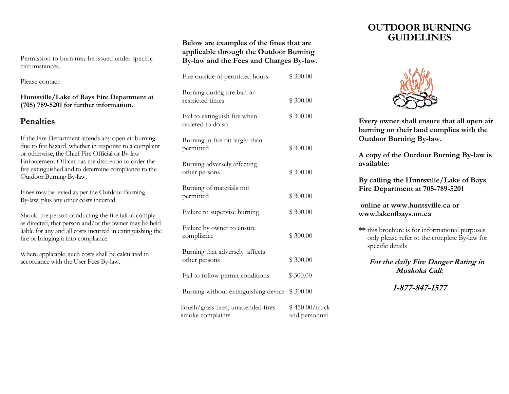Permission to burn may be issued under specific circumstances.

Please contact:

**Huntsville/Lake of Bays Fire Department at (705) 789-5201 for further information.**

## **Penalties**

If the Fire Department attends any open air burning due to fire hazard, whether in response to a complaint or otherwise, the Chief Fire Official or By-law Enforcement Officer has the discretion to order the fire extinguished and to determine compliance to the Outdoor Burning By-law.

Fines may be levied as per the Outdoor Burning By-law; plus any other costs incurred.

Should the person conducting the fire fail to comply as directed, that person and/or the owner may be held liable for any and all costs incurred in extinguishing the fire or bringing it into compliance.

Where applicable, such costs shall be calculated in accordance with the User Fees By-law.

#### **Below are examples of the fines that are applicable through the Outdoor Burning By-law and the Fees and Charges By-law.**

| Fire outside of permitted hours                         | \$300.00                        |
|---------------------------------------------------------|---------------------------------|
| Burning during fire ban or<br>restricted times          | \$300.00                        |
| Fail to extinguish fire when<br>ordered to do so        | \$300.00                        |
| Burning in fire pit larger than<br>permitted            | \$300.00                        |
| Burning adversely affecting<br>other persons            | \$300.00                        |
| Burning of materials not<br>permitted                   | \$300.00                        |
| Failure to supervise burning                            | \$300.00                        |
| Failure by owner to ensure<br>compliance                | \$300.00                        |
| Burning that adversely affects<br>other persons         | \$300.00                        |
| Fail to follow permit conditions                        | \$300.00                        |
| Burning without extinguishing device                    | \$300.00                        |
| Brush/grass fires, unattended fires<br>smoke complaints | \$450.00/truck<br>and personnel |

# **OUTDOOR BURNING GUIDELINES**



**Every owner shall ensure that all open air burning on their land complies with the Outdoor Burning By-law.**

**A copy of the Outdoor Burning By-law is available:**

**By calling the Huntsville/Lake of Bays Fire Department at 705-789-5201**

**online at www.huntsville.ca or www.lakeofbays.on.ca**

**\*\*** this brochure is for informational purposes only please refer to the complete By-law for specific details

**For the daily Fire Danger Rating in Muskoka Call:**

**1-877-847-1577**